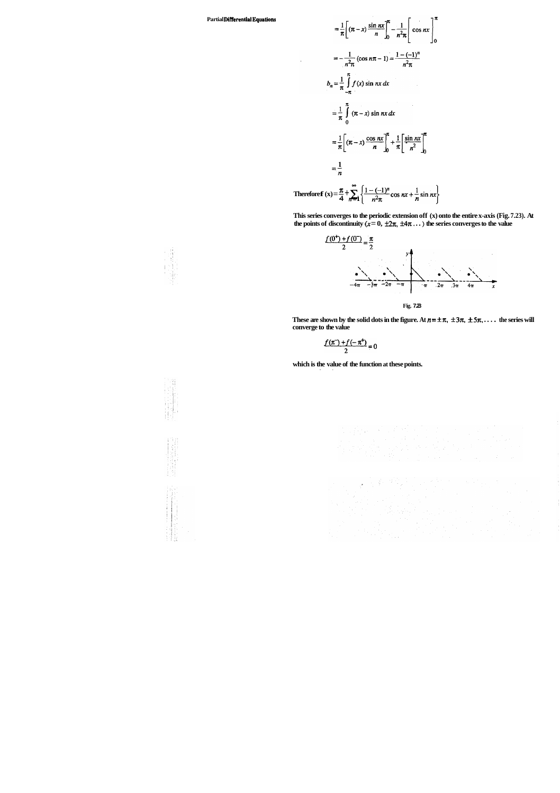**This series converges to the periodic extension off (x) onto the entire x-axis (Fig. 7.23). At the points of discontinuity**  $(x = 0, \pm 2\pi, \pm 4\pi...)$  the series converges to the value

**Partial Differential Equations** 

$$
= \frac{1}{\pi} \left[ (\pi - x) \frac{\sin nx}{n} \right]_0^{\pi} - \frac{1}{n^2 \pi} \left[ \cos nx \right]_0^{\pi}
$$
  

$$
= -\frac{1}{n^2 \pi} (\cos n\pi - 1) = \frac{1 - (-1)^n}{n^2 \pi}
$$
  

$$
b_n = \frac{1}{\pi} \int_{-\pi}^{\pi} f(x) \sin nx \, dx
$$
  

$$
= \frac{1}{\pi} \int_{0}^{\pi} (\pi - x) \sin nx \, dx
$$
  

$$
= \frac{1}{\pi} \left[ (\pi - x) \frac{\cos nx}{n} \right]_0^{\pi} + \frac{1}{\pi} \left[ \frac{\sin nx}{n^2} \right]_0^{\pi}
$$
  

$$
= \frac{1}{n}
$$
  
Therefore  $f(x) = \frac{\pi}{4} + \sum_{n=1}^{\infty} \left\{ \frac{1 - (-1)^n}{n^2 \pi} \cos nx + \frac{1}{n} \sin nx \right\}$ 

These are shown by the solid dots in the figure. At  $n = \pm \pi$ ,  $\pm 3\pi$ ,  $\pm 5\pi$ , ... . the series will **converge to the value** 

$$
\frac{f(\pi^-)+f(-\pi^+)}{2}=0
$$

which is the value of the function at these points.





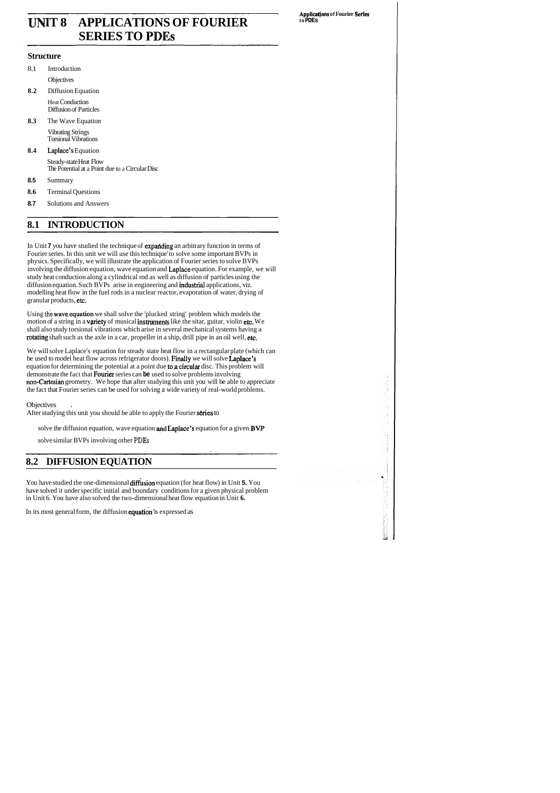# **INIT 8 APPLICATIONS OF FOURIER SERIES TO PDEs**

#### **Structure**

- 8.1 Introduction **Objectives 8.2** Diffusion Equation Heat Conduction Diffusion of Particles **8.3** The Wave Equation Vibrating Strings Torsional Vibrations **8.4** Laplace's Equation Steady-state Heat Flow
	- The Potential at a Point due to a Circular Disc
- **8.5** Summary
- **8.6** Terminal Questions
- **8.7** Solutions and Answers

# **8.1 INTRODUCTION**

In Unit **7** you have studied the technique of **expanding** an arbitrary function in terms of Fourier series. In this unit we will use this technique' to solve some important BVPs in physics. Specifically, we will illustrate the application of Fourier series to solve BVPs involving the diffusion equation, wave equation and Laplace equation. For example, we will study heat conduction along a cylindrical rod as well as diffusion of particles using the diffusion equation. Such BVPs arise in engineering and industrial applications, viz. modelling heat flow in the fuel rods in a nuclear reactor, evaporation of water, drying of granular products, etc.

Using the **wave equation** we shall solve the 'plucked string' problem which models the motion of a string in a **variety** of musical **instruments** like the sitar, guitar, violin etc. We shall also study torsional vibrations which arise in several mechanical systems having a ptating shaft such as the axle in a car, propeller in a ship, drill pipe in an oil well, etc.

We will solve Laplace's equation for steady state heat flow in a rectangular plate (which can be used to model heat flow across refrigerator doors). Finally we will solve Laplace's equation for determining the potential at a point due to a circular disc. This problem will demonstrate the fact that Fourier series can **be** used to solve problems involving non-Cartesian geometry. We hope that after studying this unit you will be able to appreciate the fact that Fourier series can be used for solving a wide variety of real-world problems.

#### **Objectives**

After studying this unit you should be able to apply the Fourier series to

solve the diffusion equation, wave equation and Laplace's equation for a given BVP

solve similar BVPs involving other **PDEs** 

# **8.2 DIFFUSION EQUATION**

You have studied the one-dimensional difksion equation (for heat flow) in Unit **5.** You have solved it under specific initial and boundary conditions for a given physical problem in Unit 6. You have also solved the two-dimensional heat flow equation in Unit **6.** 

In its most general form, the diffusion equation 'is expressed as

**Appllcatjons of Fourier Serles to PDEs**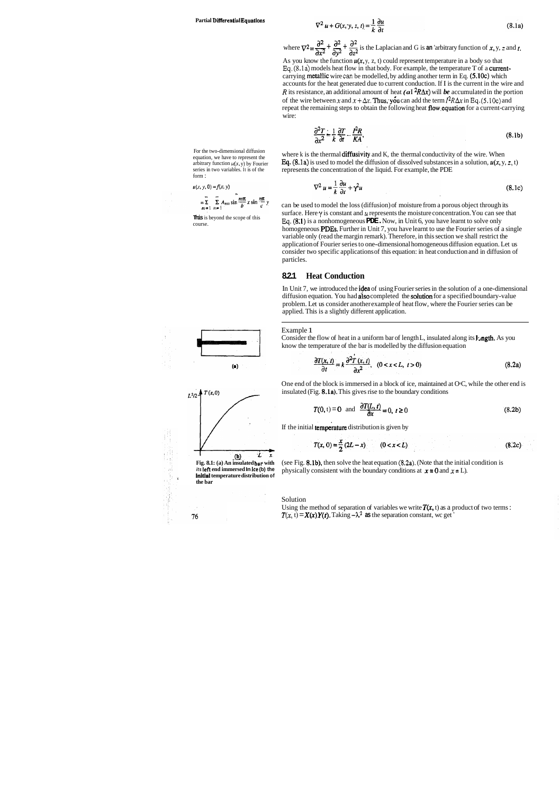equation, we have to represent the arbitrary function  $u(x, y)$  by Fourier series in two variables. It is of the form :

$$
u(x, y, 0) = f(x, y)
$$

$$
= \sum_{m=1}^{\infty} \sum_{n=1}^{\infty} A_{mn} \sin \frac{m\pi}{b} x \sin \frac{n\pi}{c} y
$$

**This** is beyond the scope of this course.





$$
\nabla^2 u + G(x, y, z, t) = \frac{1}{k} \frac{\partial u}{\partial t}
$$
 (8.1a)

 $\nabla^2 u + G(x, y, z, t) = \frac{1}{k} \frac{\partial u}{\partial t}$  (8.1a)<br>
where  $\nabla^2 = \frac{\partial^2}{\partial x^2} + \frac{\partial^2}{\partial y^2} + \frac{\partial^2}{\partial z^2}$  is the Laplacian and G is an 'arbitrary function of x, y, *z* and *t*. As you know the function  $u(x, y, z, t)$  could represent temperature in a body so that **Eq. (8.la)** models heat flow in that body. For example, the temperature T of a currentcarrying metallic wire can be modelled, by adding another term in Eq. (5.10c) which accounts for the heat generated due to current conduction. If I is the current in the wire and *R* its resistance, an additional amount of heat  $(aI^2R\Delta x)$  will *be* accumulated in the portion of the wire between x and  $x + \Delta x$ . **Thus, you** can add the term  $I^2R\Delta x$  in Eq. (5.10c) and repeat the remaining steps to obtain the following heat flow,equation for a current-carrying wire:

$$
\frac{\partial^2 T}{\partial x^2} = \frac{1}{k} \frac{\partial T}{\partial t} - \frac{I^2 R}{K A},
$$
\n(8.1b)

For the two-dimensional diffusion where k is the thermal diffusivity and K, the thermal conductivity of the wire. When **Eq.** (8.1a) is used to model the diffusion of dissolved substances in a solution,  $u(x, y, z, t)$ represents the concentration of the liquid. For example, the PDE

$$
\nabla^2 u = \frac{1}{k} \frac{\partial u}{\partial t} + \gamma^2 u \tag{8.1c}
$$

Consider the flow of heat in a uniform bar of length L, insulated along its  $\mathbf{L}$ ngth. As you know the temperature of the bar is modelled by the diffusion equation

$$
\frac{\partial T(x,t)}{\partial t} = k \frac{\partial^2 T(x,t)}{\partial x^2}, \quad (0 < x < L, \ t > 0) \tag{8.2a}
$$

(see Fig. 8.lb), then solve the heat equation **(8.2a).** (Note that the initial condition is physically consistent with the boundary conditions at  $x = 0$  and  $x = L$ ).

can be used to model the loss (diffusion) of moisture from a porous object through its surface. Here  $\gamma$  is constant and  $\mu$  represents the moisture concentration. You can see that **Eq.** (8:l) is a nonhomogeneous **PDE.** Now, in Unit 6, you have learnt to solve only homogeneous PDEs. Further in Unit 7, you have learnt to use the Fourier series of a single variable only (read the margin remark). Therefore, in this section we shall restrict the application of Fourier series to one-dimensional homogeneous diffusion equation. Let us consider two specific applications of this equation: in heat conduction and in diffusion of particles.

#### **8.2.1 Heat Conduction**

In Unit 7, we introduced the idea of using Fourier series in the solution of a one-dimensional diffusion equation. You had also completed the solution for a specified boundary-value problem. Let us consider another example of heat flow, where the Fourier series can be applied. This is a slightly different application.

Example 1

One end of the block is immersed in a block of ice, maintained at O°C, while the other end is insulated (Fig. 8.la). This gives rise to the boundary conditions

$$
T(0, t) = 0 \quad \text{and} \quad \frac{\partial T(L, t)}{\partial x} = 0, \ t \ge 0 \tag{8.2b}
$$

If the initial **temperature** distribution is given by

$$
T(x, 0) = \frac{x}{2} (2L - x) \qquad (0 < x < L)
$$
 (8.2c)

Solution

Using the method of separation of variables we write  $T(x, t)$  as a product of two terms :  $T(x, t) = X(x)Y(t)$ . Taking  $-\lambda^2$  as the separation constant, wc get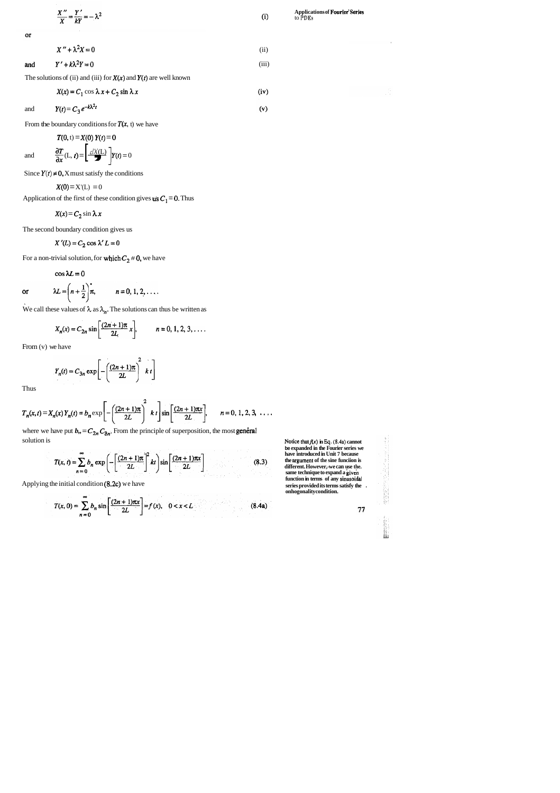$$
\frac{X''}{X} = \frac{Y'}{kY} = -\lambda^2
$$
 (i)

 $or$ 

$$
X(x) = C_1 \cos \lambda x + C_2 \sin \lambda x \tag{iv}
$$

and 
$$
Y(t) = C_3 e^{-k\lambda^2 t}
$$
 (v)

From the boundary conditions for  $T(x, t)$  we have

and 
$$
Y(t) = C_3 e^{-k\lambda^2 t}
$$
  
\nFrom the boundary conditions for  $T(x, t)$   
\n $T(0, t) = X(0) Y(t) = 0$   
\nand  $\frac{\partial T}{\partial x}(L, t) = \left[\frac{dX(L)}{dX}\right]Y(t) = 0$ 

Since  $Y(t) \neq 0$ , X must satisfy the conditions

$$
X'' + \lambda^2 X = 0 \tag{ii}
$$

and 
$$
Y' + k\lambda^2 Y = 0
$$
 (iii)

The solutions of (ii) and (iii) for  $X(x)$  and  $Y(t)$  are well known

$$
X(0) = X'(L) = 0
$$

Application of the first of these condition gives **us**  $C_1 = 0$ . Thus

where we have put  $b_{,} = C_{2n} C_{3n}$ . From the principle of superposition, the most **general** solution is

$$
T(x,t) = \sum_{n=0}^{\infty} b_n \exp\left(-\left[\frac{(2n+1)\pi}{2L}\right]^2 kt\right) \sin\left[\frac{(2n+1)\pi x}{2L}\right]
$$
(8.3)

Applying the initial condition (8.2c) we have

$$
T(x, 0) = \sum_{n=0}^{\infty} b_n \sin \left[ \frac{(2n+1)\pi x}{2L} \right] = f(x), \quad 0 < x < L \tag{8.4a}
$$

$$
X(x) = C_2 \sin \lambda x
$$

The second boundary condition gives us

$$
X'(L) = C_2 \cos \lambda' L = 0
$$

For a non-trivial solution, for which  $C_2 \neq 0$ , we have

$$
\cos \lambda L = 0
$$

or 
$$
\lambda L = \left(n + \frac{1}{2}\right)\pi
$$
,  $n = 0, 1, 2, \dots$ 

We call these values of  $\lambda$  as  $\lambda_n$ . The solutions can thus be written as

$$
X_n(x) = C_{2n} \sin \left[ \frac{(2n+1)\pi}{2L} x \right],
$$
  $n = 0, 1, 2, 3, ...$ 

**Notice that**  $f(x)$  **in Eq. (8.4a) cannot be expanded in the Fourier series we have introduced in Unit 7 because the nrgument of the sine funciion is different. However,-we can use the.**  same technique to expand a **g**iven **function in terms of any sinusoidal series provided its terms satisfy the** . **onhogonality condition.** 

 ${\bf 77}$ 

From (v) we have

$$
Y_n(t) = C_{3n} \exp\left[-\left(\frac{(2n+1)\pi}{2L}\right)^2 k t\right]
$$

Thus

$$
T_n(x, t) = X_n(x) Y_n(t) = b_n \exp \left[ -\left( \frac{(2n+1)\pi}{2L} \right)^2 k t \right] \sin \left[ \frac{(2n+1)\pi x}{2L} \right], \qquad n = 0, 1, 2, 3, \ldots
$$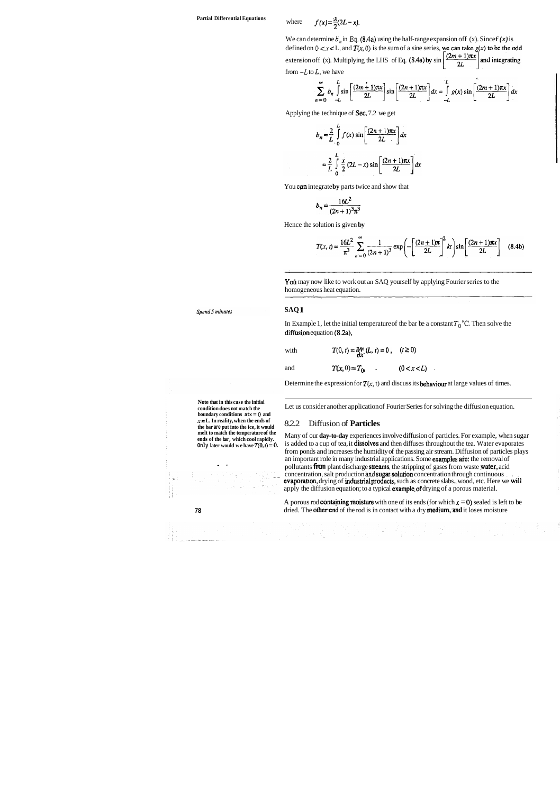# **Partial Differential Equations w**

where 
$$
f(x) = \frac{x}{2}(2L - x)
$$
.

We can determine  $b_n$  in Eq. (8.4a) using the half-range expansion off (x). Since  $f(x)$  is defined on  $0 < x < L$ , and  $T(x, 0)$  is the sum of a sine series, we can take  $g(x)$  to be the odd extension off (x). Multiplying the LHS of Eq. (8.4a) by  $\sin\left[\frac{(2m+1)\pi x}{2L}\right]$  and integrating from  $-L$  to  $L$ , we have

$$
\sum_{n=0}^{\infty} b_n \int_{-L}^{L} \sin \left[ \frac{(2m+1)\pi x}{2L} \right] \sin \left[ \frac{(2n+1)\pi x}{2L} \right] dx = \int_{-L}^{L} g(x) \sin \left[ \frac{(2m+1)\pi x}{2L} \right] dx
$$

Applying the technique of Sec. 7.2 we get

$$
b_n = \frac{2}{L} \int_0^L f(x) \sin \left[ \frac{(2n+1)\pi x}{2L} \right] dx
$$
  

$$
= \frac{2}{L} \int_0^L \frac{x}{2} (2L-x) \sin \left[ \frac{(2n+1)\pi x}{2L} \right] dx
$$

You can integrate **by** parts twice and show that

$$
b_n = \frac{16L^2}{(2n+1)^3 \pi^3}
$$

Hence the solution is given **by** 

$$
T(x, t) = \frac{16L^2}{\pi^3} \sum_{n=0}^{\infty} \frac{1}{(2n+1)^3} \exp\left(-\left[\frac{(2n+1)\pi}{2L}\right]^2 kt\right) \sin\left[\frac{(2n+1)\pi x}{2L}\right] \quad (8.4b)
$$

Yoù may now like to work out an SAQ yourself by applying Fourier series to the homogeneous heat equation.

Spend 5 minutes

**Note that in this case the initial condition does not match the boundary conditions atx** = **0 and <sup>x</sup>**= **L. In reality, when the ends of the bar are put into the ice, it would melt to match the temperature of the ends of the bar, which cool rapidly.** 

Many of our **day-to-day** experiences involve diffusion of particles. For example, when sugar is added to a cup of tea, it dissolves and then diffuses throughout the tea. Water evaporates from ponds and increases the humidity of the passing air stream. Diffusion of particles plays an important role in many industrial applications. Some examples are: the removal of pollutants **from** plant discharge streams, the stripping of gases from waste yater, acid concentration, salt production and **sugar solution** concentration through continuous . . evaporation, drying of industrial products, such as concrete slabs., wood, etc. Here we will apply the diffusion equation; to a typical **example of** drying of a porous material.

A porous rod **containing moisture** with one of its ends (for which  $x = 0$ ) sealed is left to be **78 dried.** The **otherend** of the rod is in contact with a dry **medium**, and it loses moisture

#### **SAQ 1**

In Example 1, let the initial temperature of the bar be a constant  $T_0$ <sup>3</sup>C. Then solve the diffusion equation  $(8.2a)$ ,

with 
$$
T(0, t) = \frac{\partial T}{\partial x}(L, t) = 0, \quad (t \ge 0)
$$

Only later would we have  $T(0, t) = 0$ . - - I'

$$
\mathbf{7}^{\prime}
$$

and 
$$
T(x, 0) = T_0
$$
,  $(0 < x < L)$ .

Determine the expression for  $T(x, t)$  and discuss its **behaviour** at large values of times.

Let us consider another application of Fourier Series for solving the diffusion equation.

#### 8.2.2 Diffusion of **Particles**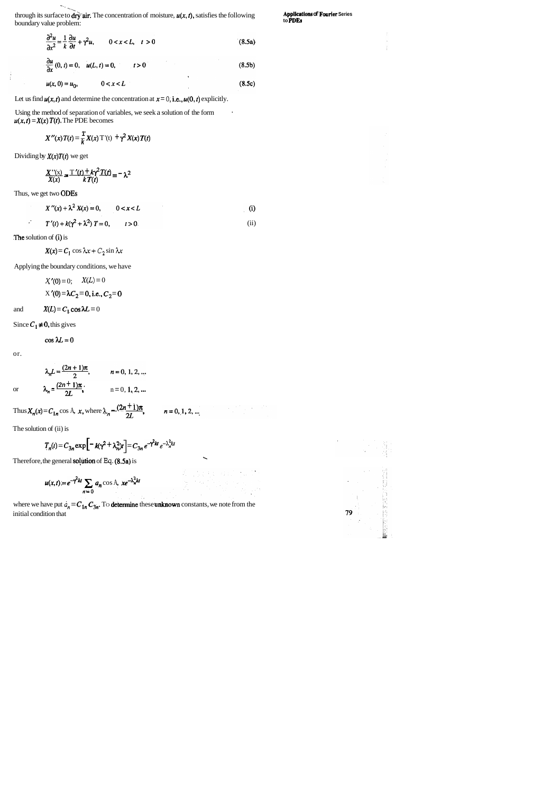$\ddot{\phantom{0}}$ through its surface to dry air. The concentration of moisture,  $u(x, t)$ , satisfies the following **Applications**  $\Delta$  **Fourier Series** through its surface to  $\frac{dr}{y}$  air. The concentration of moisture,  $u(x, t)$ , satisfies the following **Applications of Fourier Series** boundary value problem:

$$
\frac{\partial^2 u}{\partial x^2} = \frac{1}{k} \frac{\partial u}{\partial t} + \gamma^2 u, \qquad 0 < x < L, \quad t > 0
$$
\n
$$
\frac{\partial u}{\partial x}(0, t) = 0, \quad u(L, t) = 0, \qquad t > 0
$$
\n(8.5a)

$$
u(x, 0) = u_0, \t 0 < x < L \t (8.5c)
$$

Let us find  $u(x, t)$  and determine the concentration at  $x = 0$ , **i.e.,**  $u(0, t)$  explicitly.

Using the method of separation of variables, we seek a solution of the form .  $u(x, t) = X(x) T(t)$ . The PDE becomes

$$
X''(x) T(t) = \frac{1}{k} X(x) T'(t) + \gamma^2 X(x) T(t)
$$

Dividing by  $X(x)T(t)$  we get

Í

$$
\frac{X''(x)}{X(x)} = \frac{T'(t) + k\gamma^2 T(t)}{k T(t)} = -\lambda^2
$$

Thus, we get two ODES

where we have put  $\phi_n = C_{1n} C_{3n}$ . To **determine** these **unknown** constants, we note from the initial condition that





$$
X(x) = C_1 \cos \lambda x + C_2 \sin \lambda x
$$

Applying the boundary conditions, we have

$$
X'(0) = 0; \quad X(L) = 0
$$
  
 
$$
X'(0) = \lambda C_2 = 0, \text{ i.e., } C_2 = 0
$$

and  $X(L) = C_1 \cos \lambda L = 0$ 

Since  $C_1 \neq 0$ , this gives

 $\cos \lambda L=0$ 

or.

or 
$$
\lambda_n L = \frac{(2n+1)\pi}{2}, \qquad n = 0, 1, 2, ...
$$
  
 $\lambda_n = \frac{(2n+1)\pi}{2L}, \qquad n = 0, 1, 2, ...$ 

Thus 
$$
X_n(x) = C_{1n} \cos A
$$
, x, where  $\lambda_n \frac{(2n+1)\pi}{2L}$ ,

$$
n=0,1,2,\ldots
$$

$$
X''(x) + \lambda^2 X(x) = 0, \qquad 0 < x < L
$$
  
(i)  

$$
T'(t) + k(\gamma^2 + \lambda^2) T = 0, \qquad t > 0
$$
  
(ii)

The solution of (i) is

The solution of (ii) is

$$
T_n(t) = C_{3n} \exp\left[-k(\gamma^2 + \lambda_n^2)t\right] = C_{3n} e^{-\gamma^2 kt} e^{-\lambda_n^2 kt}
$$

Therefore, the general **solution** of Eq. **(8.5a)** is

$$
u(x,t) = e^{-\gamma^2 kt} \sum_{n=0} a_n \cos A, \ x e^{-\lambda_n^2 kt}
$$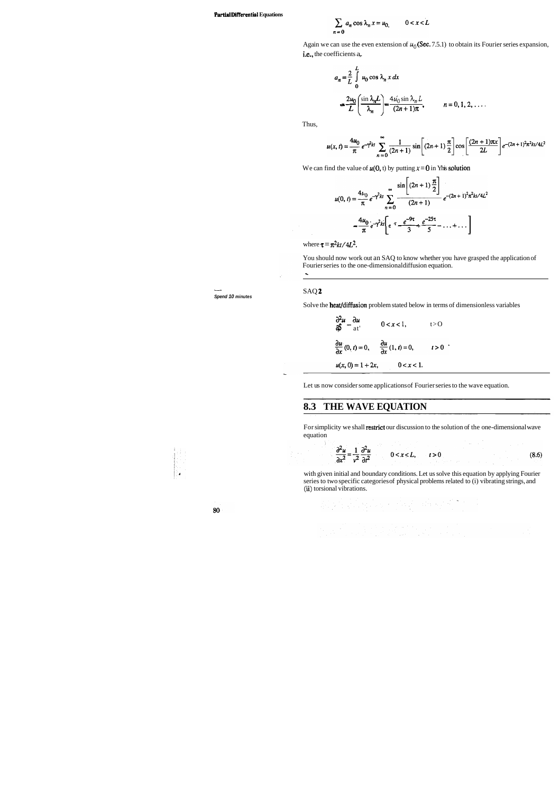#### **Partial Differential Equations**

$$
\sum_{n=0} a_n \cos \lambda_n x = u_0, \qquad 0 < x < L
$$

Again we can use the even extension of  $u_0$  (Sec. 7.5.1) to obtain its Fourier series expansion, i.e., the coefficients a,.

- **Spend 10 minutes** 

You should now work out an SAQ to know whether you have grasped the application of Fourier series to the one-dimensional diffusion equation.

efficients a,  
\n
$$
a_n = \frac{2}{L} \int_0^L u_0 \cos \lambda_n x \, dx
$$
\n
$$
= \frac{2u_0}{L} \left( \frac{\sin \lambda_n L}{\lambda_n} \right) = \frac{4u_0 \sin \lambda_n L}{(2n+1)\pi}, \qquad n = 0, 1, 2, ....
$$

Thus,

$$
u(x,t) = \frac{4u_0}{\pi} e^{-\gamma^2 kt} \sum_{n=0}^{\infty} \frac{1}{(2n+1)} \sin \left[ (2n+1) \frac{\pi}{2} \right] \cos \left[ \frac{(2n+1)\pi x}{2L} \right] e^{-(2n+1)^2 \pi^2 kt/4L^2}
$$

We can find the value of  $u(0, t)$  by putting  $x = 0$  in Yhis solution

$$
u(0, t) = \frac{4u_0}{\pi} e^{-\gamma^2 kt} \sum_{n=0}^{\infty} \frac{\sin\left[ (2n+1)\frac{\pi}{2} \right]}{(2n+1)} e^{-(2n+1)^2 \pi^2 kt / 4L^2}
$$

$$
= \frac{4u_0}{\pi} e^{-\gamma^2 kt} \left[ e^{-\tau} \frac{e^{-9\tau}}{3} + \frac{e^{-25\tau}}{5} - \dots + \dots \right]
$$

where  $\tau = \pi^2 kt / 4L^2$ .

For simplicity we shall restrict our discussion to the solution of the one-dimensional wave equation

$$
\frac{\partial^2 u}{\partial x^2} = \frac{1}{v^2} \frac{\partial^2 u}{\partial t^2} \qquad 0 < x < L, \qquad t > 0
$$
 (8.6)

SAQ **2** 

 $\sim$ 

Solve the **heat/diffusion** problem stated below in terms of dimensionless variables

$$
\frac{\partial^2 u}{\partial \beta} - \frac{\partial u}{\partial t}
$$
\n
$$
0 < x < 1,
$$
\n
$$
t > 0
$$
\n
$$
\frac{\partial u}{\partial x} (0, t) = 0, \qquad \frac{\partial u}{\partial x} (1, t) = 0, \qquad t > 0
$$
\n
$$
u(x, 0) = 1 + 2x, \qquad 0 < x < 1.
$$

Let us now consider some applications of Fourier series to the wave equation.

## **8.3 THE WAVE EQUATION**

with given initial and boundary conditions. Let us solve this equation by applying Fourier series to two specific categories of physical problems related to (i) vibrating strings, and **(ii)** torsional vibrations.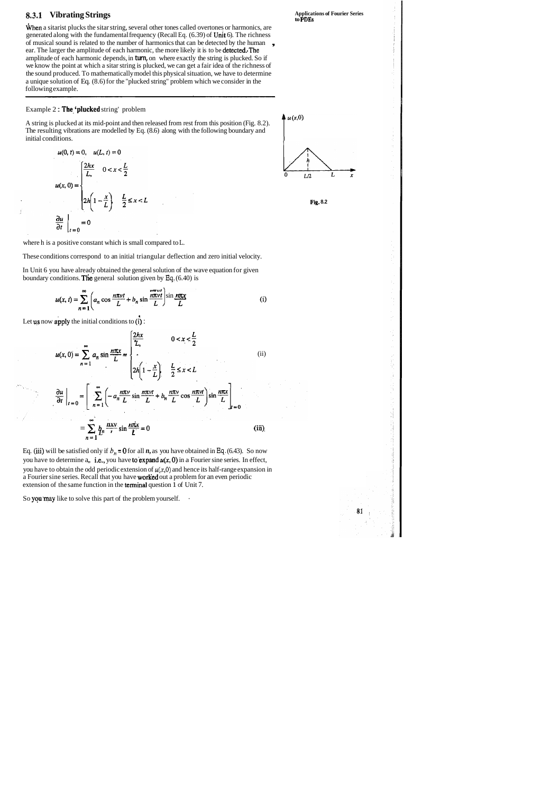

## **8.3.1 Vibrating Strings**

When a sitarist plucks the sitar string, several other tones called overtones or harmonics, are generated along with the fundamental frequency (Recall Eq.  $(6.39)$  of Unit 6). The richness of musical sound is related to the number of harmonics that can be detected by the human ear. The larger the amplitude of each harmonic, the more likely it is to be detected. The amplitude of each harmonic depends, in **turn,** on where exactly the string is plucked. So if we know the point at which a sitar string is plucked, we can get a fair idea of the richness of the sound produced. To mathematically model this physical situation, we have to determine a unique solution of Eq. (8.6) for the "plucked string" problem which we consider in the following example.

#### Example 2 : The 'plucked string' problem

A string is plucked at its mid-point and then released from rest from this position (Fig. 8.2). The resulting vibrations are modelled by Eq. (8.6) along with the following boundary and initial conditions.

$$
u(0, t) = 0, \quad u(L, t) = 0
$$
  

$$
u(x, 0) = \begin{cases} \frac{2hx}{L}, & 0 < x < \frac{L}{2} \\ 2h\left(1 - \frac{x}{L}\right), & \frac{L}{2} \le x < L \end{cases}
$$
  

$$
\frac{\partial u}{\partial t}\Big|_{t=0} = 0
$$

Eq. (iii) will be satisfied only if  $b_n = 0$  for all *n*, as you have obtained in Eq. (6.43). So now you have to determine a,, i.e., you have to expand  $u(x, 0)$  in a Fourier sine series. In effect, you have to obtain the odd periodic extension of  $u(x,0)$  and hence its half-range expansion in a Fourier sine series. Recall that you have **worked** out a problem for an even periodic extension of the same function in the terminal question 1 of Unit 7.

So you may like to solve this part of the problem yourself.





81

where h is a positive constant which is small compared to L.

These conditions correspond to an initial triangular deflection and zero initial velocity.

In Unit 6 you have already obtained the general solution of the wave equation for given boundary conditions. The general solution given by **Eq,** (6.40) is

$$
u(x, t) = \sum_{n=1}^{\infty} \left( a_n \cos \frac{n\pi vt}{L} + b_n \sin \frac{n\pi vt}{L} \right) \sin \frac{n\pi x}{L}
$$
 (i)

Let us now apply the initial conditions to  $(i)$ :

$$
u(x, 0) = \sum_{n=1}^{\infty} a_n \sin \frac{n\pi x}{L} = \begin{cases} \frac{2hx}{L}, & 0 < x < \frac{L}{2} \\ \frac{2h\left(1 - \frac{x}{L}\right)}{L}, & \frac{L}{2} \le x < L \end{cases} \tag{ii}
$$
\n
$$
\frac{\partial u}{\partial t}\Big|_{t=0} = \left[\sum_{n=1}^{\infty} \left(-a_n \frac{n\pi v}{L} \sin \frac{n\pi vt}{L} + b_n \frac{n\pi v}{L} \cos \frac{n\pi vt}{L}\right] \sin \frac{n\pi x}{L}\right]_{t=0}
$$
\n
$$
= \sum_{n=1}^{\infty} \underbrace{h \frac{n x v}{L}} \sin \frac{n \pi x}{L} = 0 \tag{iii}
$$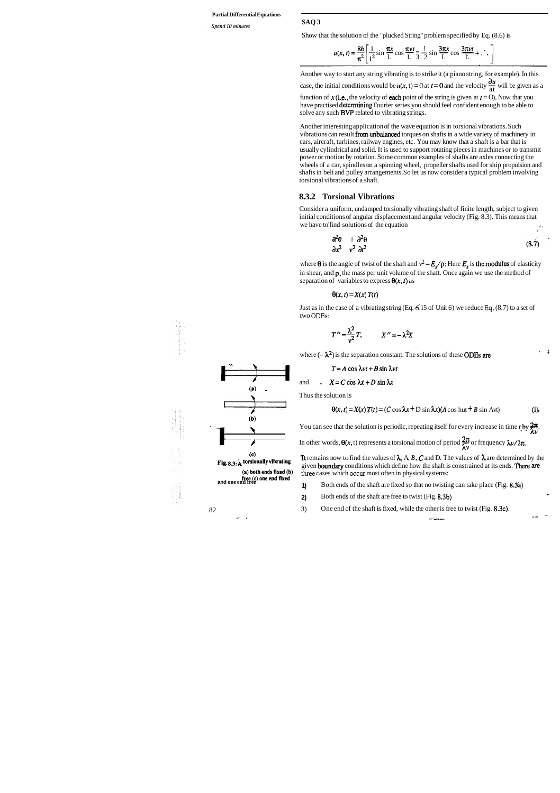#### **Partial Differential Equations**

Spend 10 minutes

**SAQ 3** 

Show that the solution of the "plucked String" problem specified by Eq. (8.6) is

the solution of the "plucked String" problem specified by Eq. (8  

$$
u(x, t) = \frac{8h}{\pi^2} \left[ \frac{1}{1^2} \sin \frac{\pi x}{L} \cos \frac{\pi vt}{L} - \frac{1}{3} \sin \frac{3\pi x}{L} \cos \frac{3\pi vt}{L} + \cdots \right]
$$

Another way to start any string vibrating is to strike it (a piano string, for example). In this du Another way to start any string vibrating is to strike it (a piano string, for example). In this case, the initial conditions would be  $u(x, t) = 0$  at  $t = 0$  and the velocity  $\frac{\partial u}{\partial t}$  will be given as a function of  $x$  (i.e., the velocity of each point of the string is given at  $t = 0$ ). Now that you have practised determining Fourier series you should feel confident enough to be able to solve any such BVP related to vibrating strings.

Consider a uniform, undamped torsionally vibrating shaft of finite length, subject to given initial conditions of angular displacement and angular velocity (Fig. 8.3). This means that we have to'find solutions of the equation

Another interesting application of the wave equation is in torsional vibrations. Such vibrations can result from.unbalanced torques on shafts in a wide variety of machinery in cars, aircraft, turbines, railway engines, etc. You may know that a shaft is a bar that is usually cylindrical and solid. It is used to support rotating pieces in machines or to transmit power or motion by rotation. Some common examples of shafts are axles connecting the wheels of a car, spindles on a spinning wheel, propeller shafts used for ship propulsion and shafts in belt and pulley arrangements. So let us now consider a typical problem involving torsional vibrations of a shaft.

#### **8.3.2 Torsional Vibrations**

*J* 

 $\mathbf{A}$ 

where  $\theta$  is the angle of twist of the shaft and  $v^2 = E_s/\rho$ : Here  $E_s$  is the modulus of elasticity in shear, and **p,** the mass per unit volume of the shaft. Once again we use the method of separation of variables to express  $\theta(x, t)$  as

#### $\theta(x, t) = X(x) T(t)$

$$
\frac{\partial^2 \theta}{\partial x^2} = \frac{1}{v^2} \frac{\partial^2 \theta}{\partial t^2}
$$
 (8.7)

Just as in the case of a vibrating string (Eq. **6;** 15 of Unit 6) we reduce **Eq.** (8.7) to a set of two **ODEs:** 

$$
T'' = \frac{\lambda^2}{v^2} T, \qquad X'' = -\lambda^2 X
$$

where  $(-\lambda^2)$  is the separation constant. The solutions of these **ODEs are** 

 $T=A\cos \lambda vt+B\sin \lambda vt$ 

and 
$$
X = C \cos \lambda x + D \sin \lambda x
$$

Thus the solution is

$$
\Theta(x, t) = X(x) T(t) = (C \cos \lambda x + D \sin \lambda x)(A \cos \lambda t + B \sin \lambda vt)
$$
 (i)

 $\overline{2\pi}$  You can see that the solution is periodic, repeating itself for every increase in time t by  $\frac{2\pi}{\pi}$  $\theta(x, t) = X(x) T(t) = (C \cos \lambda x + D \sin \lambda x)(A \cos \lambda t + B \sin \lambda vt)$  (i).<br>
You can see that the solution is periodic, repeating itself for every increase in time t, by  $\frac{2\pi}{\lambda v}$ .

In other words,  $\theta(x, t)$  represents a torsional motion of period  $\frac{2\pi}{\lambda v}$  or frequency  $\lambda v/2\pi$ .<br> **(c)** The presents a torsional motion of period  $\frac{2\pi}{\lambda v}$  or frequency  $\lambda v/2\pi$ .

(5) It remains now to find the values of  $\lambda$ , A, *B*, *C* and D. The values of  $\lambda$  are determined by the  $\frac{1}{2}$  to solvany vibrating given **boundary** conditions which define how the shaft is constrained at its ends. There are **(a)** both ends fixed (b) three cases which occur most often in physical systems:

- **1)** Both ends of the shaft are fixed so that no twisting can take place (Fig. 8.3a)
- **2)** Both ends of the shaft are free to twist (Fig. 8.3b)
- 

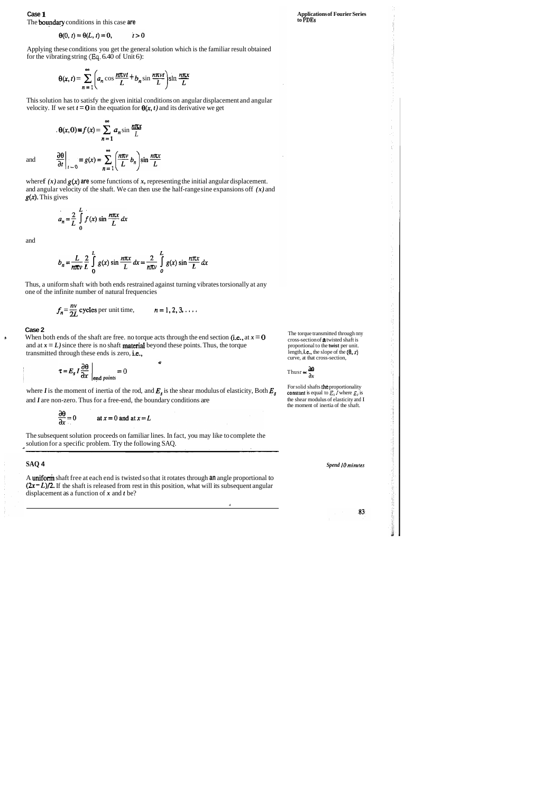### **Case 1**  The bupdary conditions in this case **are**

 $\theta(0, t) = \theta(L, t) = 0,$  $t > 0$ 

Applying these conditions you get the general solution which is the familiar result obtained<br>for the vibrating string (Eq. 6.40 of Unit 6):<br> $\theta(x, t) = \sum_{n=1}^{\infty} \left( a_n \cos \frac{n\pi vt}{L} + b_n \sin \frac{n\pi vt}{L} \right) \sin \frac{n\pi x}{L}$ for the vibrating string **(Eq.** 6.40 of Unit 6):

This solution has to satisfy the given initial conditions on angular displacement and angular velocity. If we set  $t = 0$  in the equation for  $\theta(x, t)$  and its derivative we get  $\theta(x, 0) = f(x) = \sum_{n=1}^{\infty} a_n \sin \frac{n\pi x}{L}$ 

$$
\theta(x,t) = \sum_{n=1}^{\infty} \left( a_n \cos \frac{n\pi vt}{L} + b_n \sin \frac{n\pi vt}{L} \right) \sin \frac{n\pi x}{L}
$$

where  $f(x)$  and  $g(x)$  are some functions of x, representing the initial angular displacement. and angular velocity of the shaft. We can then use the half-range sine expansions off *(x)* and *g(x).* This gives

$$
a_n = \frac{2}{L} \int_0^L f(x) \sin \frac{n\pi x}{L} dx
$$

and

$$
\theta(x, 0) \equiv f(x) = \sum_{n=1}^{\infty} a_n \sin \frac{n\pi x}{L}
$$

$$
\frac{\partial \theta}{\partial t}\Big|_{t=0} \equiv g(x) = \sum_{n=1}^{\infty} \left(\frac{n\pi v}{L} b_n\right) \sin \frac{n\pi x}{L}
$$

**li w When both ends of the shaft are free. no torque acts through the end section (i.e., at**  $x = 0$ **)** and at  $x = L$ ) since there is no shaft **material** beyond these points. Thus, the torque transmitted through these ends is zero, i.e.,

and

where *I* is the moment of inertia of the rod, and  $E_s$  is the shear modulus of elasticity, Both  $E_s$ and *I* are non-zero. Thus for a free-end, the boundary conditions are

The subsequent solution proceeds on familiar lines. In fact, you may like to complete the solution for a specific problem. Try the following SAQ.

∉

$$
\frac{\partial \theta}{\partial x} = 0 \qquad \text{at } x = 0 \text{ and at } x = L
$$

$$
b_n = \frac{L}{n\pi v} \frac{2}{L} \int_0^L g(x) \sin \frac{n\pi x}{L} dx = \frac{2}{n\pi v} \int_0^L g(x) \sin \frac{n\pi x}{L} dx
$$

Thus, a uniform shaft with both ends restrained against turning vibrates torsionally at any one of the infinite number of natural frequencies

> The torque transmitted through nny cross-section of a twisted shaft is proportional to the **twist** per unit. length, i.e., the slope of the  $(\theta, x)$ curve, at that cross-section,<br>Thusr  $\propto \frac{\partial \mathbf{B}}{\partial x}$

$$
f_n = \frac{nv}{2L}
$$
 cycles per unit time,  $n = 1, 2, 3, ...$ 

#### **Case 2**

For solid shafts the proportionality constant is equal to  $E_3$  *l* where  $E_s$  is the shear modulus of elasticity and I the moment of inertia of the shaft.

**Spend 10 minutes** 

83

$$
\tau = E_s I \frac{\partial \theta}{\partial x} \bigg|_{\text{end points}} = 0
$$

### **SAQ 4**

A uniform shaft free at each end is twisted so that it rotates through **an** angle proportional to  $(2x - L)/2$ . If the shaft is released from rest in this position, what will its subsequent angular displacement as a function of *x* and *t* be?

**d** 

**Applications of Fourier Series to PDEs** 

Thus 
$$
r \propto \frac{\partial \theta}{\partial x}
$$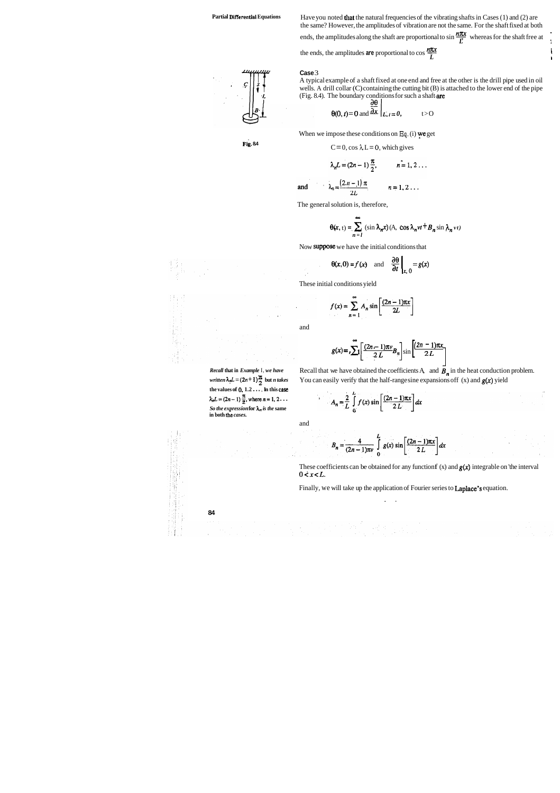**Partial Differential Equations** Have you noted that the natural frequencies of the vibrating shafts in Cases (1) and (2) are the same? However, the amplitudes of vibration are not the same. For the shaft fixed at both Have you noted **that** the natural frequencies of the vibrating shafts in Cases (1) and (2) are the same? However, the amplitudes of vibration are not the same. For the shaft fixed at both ends, the amplitudes along the sh the same? However, the amplitudes of vibration are not the same. For the shaft fixed at both ends, the amplitudes along the shaft are proportional to  $\sin \frac{n\pi x}{L}$  whereas for the shaft free at the ends, the amplitudes ar

I

 $\boldsymbol{L}$  is a set of  $\boldsymbol{L}$ 

#### **Case** 3

A typical example of a shaft fixed at one end and free at the other is the drill pipe used in oil wells. A drill collar (C) containing the cutting bit (B) is attached to the lower end of the pipe

(Fig. 8.4). The boundary conditions for such a shaft are  
\n
$$
\frac{\partial \theta}{\partial x}\Big|_{L,t=0,}
$$
\n $t>0$ 

**the values of 0. 1.2** . . . , **In this** *case*   $\lambda_n L = (2n-1)\frac{\pi}{2}$ , where  $n = 1, 2...$ So the expression for  $\lambda_n$  is the same  $\begin{bmatrix} 1 & 0 \ 0 & 0 \end{bmatrix}$   $\begin{bmatrix} 1 & 0 \ 0 & 1 \end{bmatrix}$   $\begin{bmatrix} 2 & 1 \ 2 & 1 \end{bmatrix}$ .

*Recall* that in *Example 1, we have* Recall that we have obtained the coefficients A, and  $\overline{B}_n$  in the heat conduction problem. *written*  $\lambda_n L = (2n + 1) \frac{\pi}{2}$  but *n takes* You can easily verify that the half-range sine expansions off (x) and  $g(x)$  yield

$$
A_n = \frac{2}{L} \int_0^L f(x) \sin \left[ \frac{(2n-1)\pi x}{2 L} \right] dx
$$

When we impose these conditions on **Eq.** (i) ye get

**Fig. 84** 
$$
C=0
$$
,  $\cos \lambda L = 0$ , which gives

$$
\lambda_n L = (2n-1)\frac{\pi}{2}, \qquad n = 1, 2 \ldots
$$

 $\lambda_n = \frac{(2n-1)\pi}{2L}$ and  $n=1,2...$ 

The general solution is, therefore,

$$
\Theta(x, t) = \sum_{n=1}^{\infty} (\sin \lambda_n x) (A, \cos \lambda_n vt + B_n \sin \lambda_n vt)
$$

Now suppose we have the initial conditions that

These initial conditions yield

$$
f(x) = \sum_{n=1}^{\infty} A_n \sin \left[ \frac{(2n-1)\pi x}{2L} \right]
$$

$$
\theta(x, 0) = f(x)
$$
 and  $\frac{\partial \theta}{\partial t}\Big|_{x, 0} = g(x)$ 

and

$$
f(x) = \sum_{n=1}^{\infty} A_n \sin\left[\frac{(2n-1)\pi x}{2L}\right]
$$
  

$$
g(x) = n \sum_{n=1}^{\infty} \left[\frac{(2n-1)\pi v}{2L} B_n\right] \sin\left[\frac{(2n-1)\pi x}{2L}\right]
$$

and

$$
B_n = \frac{4}{(2n-1)\pi v} \int_0^L g(x) \sin \left[\frac{(2n-1)\pi x}{2L}\right] dx
$$

These coefficients can be obtained for any function  $f(x)$  and  $g(x)$  integrable on 'the interval  $0 < x < L$ .

Finally, we will take up the application of Fourier series to Laplace's equation.

. .



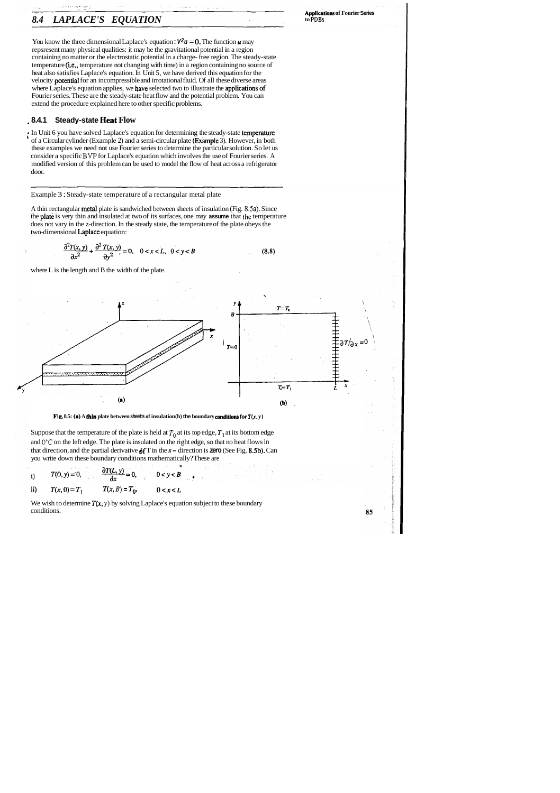# *8.4 LAPLACE'S EQUATION*

**~~~lications of Fourier Series to PDEs** 

85

You know the three dimensional Laplace's equation :  $V^2u = 0$ . The function **u** may repsresent many physical qualities: it may be the gravitational potential in a region containing no matter or the electrostatic potential in a charge- free region. The steady-state temperature (i.e., temperature not changing with time) in a region containing no source of heat also satisfies Laplace's equation. In Unit 5, we have derived this equation for the velocity potential for an incompressible and irrotational fluid. Of all these diverse areas where Laplace's equation applies, we have selected two to illustrate the applications'of Fourier series. These are the steady-state heat flow and the potential problem. You can extend the procedure explained here to other specific problems.

: In Unit 6 you have solved Laplace's equation for determining the steady-state temperature of a Circular cylinder (Example 2) and a semi-circular plate (Example 3). However, in both these examples we need not use Fourier series to determine the particular solution. So let us consider a specific **BVP** for Laplace's equation which involves the use of Fourier series. A modified version of this problem can be used to model the flow of heat across a refrigerator door.

### <sup>+</sup>**8.4.1 Steady-state Heat Flow**

Suppose that the temperature of the plate is held at  $T_0$  at its top edge,  $T_1$  at its bottom edge and **O"C** on the left edge. The plate is insulated on the right edge, so that no heat flows in that direction, and the partial derivative df T in the **x-** direction is **zero** (See Fig. 8.5b). Can you write down these boundary conditions mathematically? These are

We wish to determine  $T(x, y)$  by solving Laplace's equation subject to these boundary conditions.

Example 3 : Steady-state temperature of a rectangular metal plate

A thin rectangular metal plate is sandwiched between sheets of insulation (Fig. **8.5a).** Since the plate is very thin and insulated at two of its surfaces, one may **assume** that the temperature does not vary in the z-direction. In the steady state, the temperature of the plate obeys the two-dimensional Laplace equation:

$$
\frac{\partial^2 T(x, y)}{\partial x^2} + \frac{\partial^2 T(x, y)}{\partial y^2} = 0, \quad 0 < x < L, \quad 0 < y < B \tag{8.8}
$$

where L is the length and B the width of the plate.



**Fig. 8.5: (a)** A thin plate between sheets of insulation (b) the boundary conditions for  $T(x, y)$ 

i) 
$$
T(0, y) = 0,
$$
  $\frac{\partial T(L, y)}{\partial x} = 0,$   $0 < y < B$   
\nii)  $T(x, 0) = T_1$   $T(x, B) = T_0,$   $0 < x < L$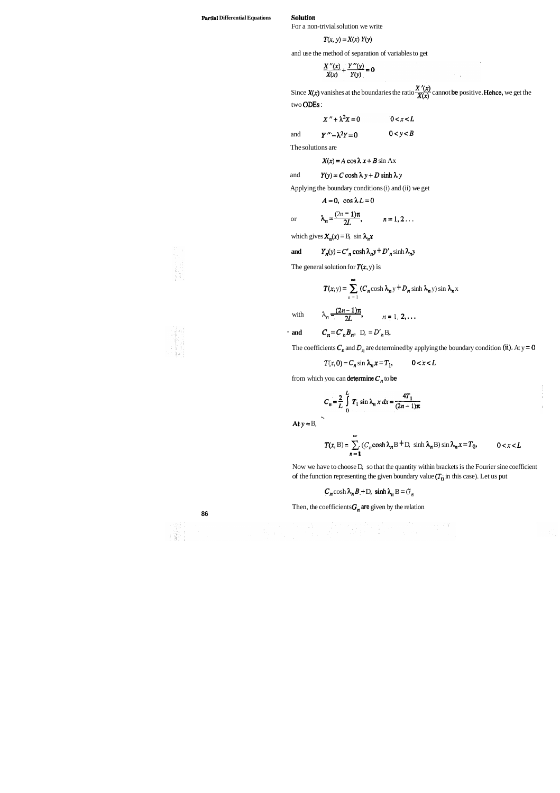#### **Partial Differential Equations Solution**

For a non-trivial solution we write

$$
T(x, y) = X(x) Y(y)
$$

and use the method of separation of variables to get

$$
\frac{X''(x)}{X(x)} + \frac{Y''(y)}{Y(y)} = 0
$$

Since  $X(x)$  vanishes at the boundaries the ratio  $\frac{X'(x)}{X(x)}$  cannot be positive. Hehce, we get the two ODES :

$$
X'' + \lambda^2 X = 0 \qquad \qquad 0 < x < L
$$

and  $Y'' - \lambda^2 Y = 0$   $0 < y < B$ 

The solutions are

$$
X(x) = A \cos \lambda x + B \sin Ax
$$

and 
$$
Y(y) = C \cosh \lambda y + D \sinh \lambda y
$$

Applying the boundary conditions (i) and (ii) we get

 $A=0$ , cos  $\lambda L=0$ 

or 
$$
\lambda_n = \frac{(2n-1)\pi}{2L}, \qquad n = 1, 2...
$$

which gives  $X_n(x) = B$ , sin  $\lambda_n x$ 

Now we have to choose D, so that the quantity within brackets is the Fourier sine coefficient of the function representing the given boundary value  $(T_0$  in this case). Let us put

 $C_n \cosh \lambda_n B + D$ ,  $\sinh \lambda_n B = G_n$ 

Then, the coefficients  $G_n$  are given by the relation

 $\frac{1}{2}$  , the second contribution of the second contribution of the second contribution of the second contribution of the second contribution of the second contribution of the second contribution of the second contribut





and 
$$
Y_n(y) = C'_n \cosh \lambda_n y + D'_n \sinh \lambda_n y
$$

The general solution for  $T(x, y)$  is

$$
T(x, y) = \sum_{n=1}^{\infty} (C_n \cosh \lambda_n y + D_n \sinh \lambda_n y) \sin \lambda_n x
$$

with 
$$
\lambda_n = \frac{(2n-1)\pi}{2L}
$$
,  $n = 1, 2, ...$ 

**and**  $C_n = C'_n B_n$ ,  $D_n = D'_n B_n$ ,

The coefficients  $C_n$  and  $D_n$  are determined by applying the boundary condition (ii). At y = 0

$$
T(x, 0) = C_n \sin \lambda_n x = T_1, \qquad 0 < x < L
$$

from which you can **determine**  $C_n$  to **be** 

$$
C_n = \frac{2}{L} \int_{0}^{L} T_1 \sin \lambda_n x \, dx = \frac{4T_1}{(2n-1)\pi}
$$

At  $y = B$ ,

 $\mathcal{L}$ 

$$
T(x, B) = \sum_{n=1}^{w} (C_n \cosh \lambda_n B + D, \sinh \lambda_n B) \sin \lambda_n x = T_0, \qquad 0 < x < L
$$

**86**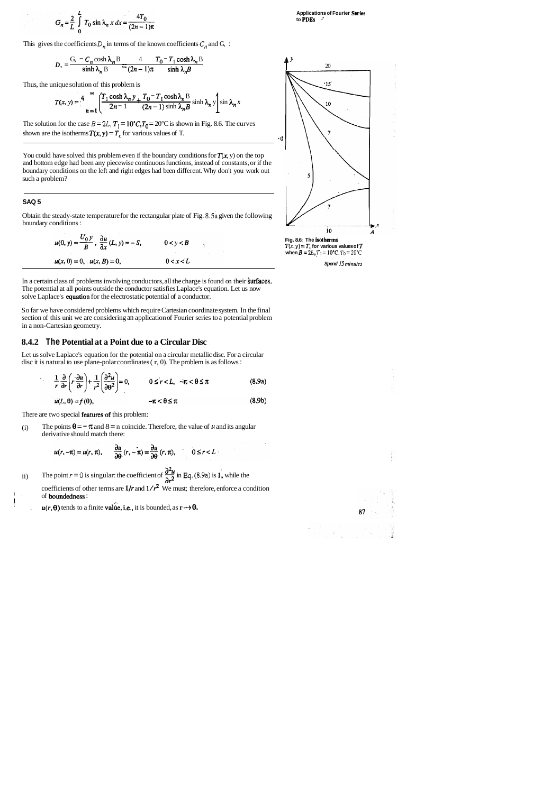$$
G_n = \frac{2}{L} \int_{0}^{L} T_0 \sin \lambda_n x \, dx = \frac{4T_0}{(2n-1)\pi}
$$

This gives the coefficients  $D_n$  in terms of the known coefficients  $C_n$  and  $G_n$ :



$$
D_1 = \frac{G_1 - C_n \cosh \lambda_n B}{\sinh \lambda_n B} = \frac{4}{(2n-1)\pi} \frac{T_0 - T_1 \cosh \lambda_n B}{\sinh \lambda_n B}
$$

Thus, the unique solution of this problem is

$$
T(x, y) = \frac{4}{n} \int_{1}^{\infty} \left( \frac{T_1 \cosh \lambda_n y}{2n - 1} + \frac{T_0 - T_1 \cosh \lambda_n}{(2n - 1) \sinh \lambda_n} \right) \sinh \lambda_n y \sinh \lambda_n x
$$

The solution for the case  $B = 2L$ ,  $T_1 = 10^{\circ}C$ ,  $T_0 = 20^{\circ}C$  is shown in Fig. 8.6. The curves shown are the isotherms  $T(x, y) = T_c$  for various values of T.

You could have solved this problem even if the boundary conditions for  $T(x, y)$  on the top and bottom edge had been any piecewise continuous functions, instead of constants, or if the boundary conditions on the left and right edges had been different. Why don't you work out such a problem?



**Spend 15 minutes** 

87

In a certain class of problems involving conductors, all the charge is found on their surfaces. The potential at all points outside the conductor satisfies Laplace's equation. Let us now solve Laplace's equation for the electrostatic potential of a conductor.

#### **SAQ 5**

Obtain the steady-state temperature for the rectangular plate of Fig. **8.5a** given the following boundary conditions :

$$
u(0, y) = \frac{U_0 y}{B}, \frac{\partial u}{\partial x}(L, y) = -S, \qquad 0 < y < B
$$
  

$$
u(x, 0) = 0, \quad u(x, B) = 0, \qquad 0 < x < L
$$

(i) The points  $\theta = -\pi$  and  $8 = n$  coincide. Therefore, the value of  $\mu$  and its angular derivative should match there:

- **a2u**   $u(r, -\pi) = u(r, \pi),$   $\frac{\partial u}{\partial \theta}(r, -\pi) = \frac{\partial u}{\partial \theta}(r, \pi),$   $0 \le r < L$ <br>ii) The point  $r = 0$  is singular: the coefficient of  $\frac{\partial^2 u}{\partial r^2}$  in Eq. (8.9a) is 1, while the coefficients of other terms are  $1/r$  and  $1/r^2$  We must; therefore, enforce a condition 1. of **boundedness**:
	- $u(r, \theta)$  tends to a finite value, i.e., it is bounded, as  $r \rightarrow 0$ .

$$
(r, -\pi) = u(r, \pi), \qquad \frac{\partial u}{\partial \theta} (r, -\pi) = \frac{\partial u}{\partial \theta} (r, \pi), \qquad 0 \le r < L
$$

So far we have considered problems which require Cartesian coordinate system. In the final section of this unit we are considering an application of Fourier series to a potential problem in a non-Cartesian geometry.

#### **8.4.2 The Potential at a Point due to a Circular Disc**

Let us solve Laplace's equation for the potential on a circular metallic disc. For a circular disc it is natural to use plane-polar coordinates ( r, 0). The problem is as follows :

$$
\frac{1}{r}\frac{\partial}{\partial r}\left(r\frac{\partial u}{\partial r}\right) + \frac{1}{r^2}\left(\frac{\partial^2 u}{\partial \theta^2}\right) = 0, \qquad 0 \le r < L, \quad -\pi < \theta \le \pi
$$
 (8.9a)  

$$
u(L, \theta) = f(\theta), \qquad -\pi < \theta \le \pi
$$
 (8.9b)

$$
u(L,\theta) = f(\theta), \qquad \qquad -\pi < \theta \leq \pi
$$

There are two special features of this problem:

I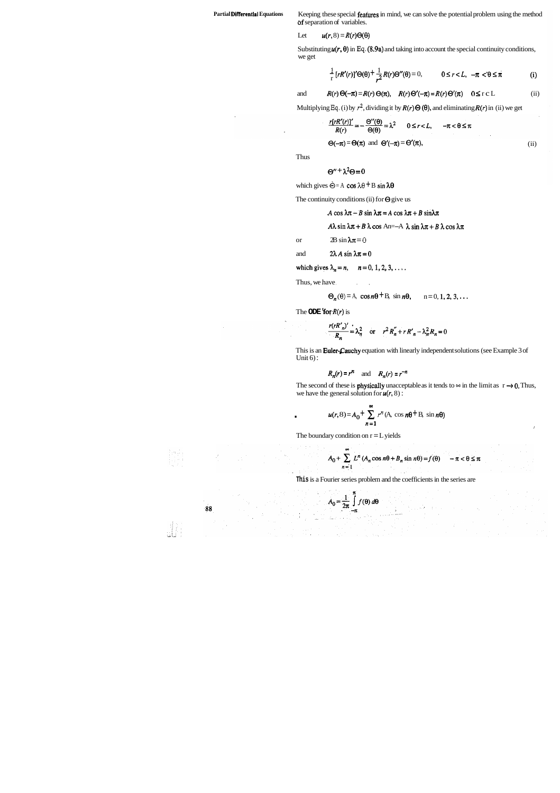Partial Differentlai Equations Keeping these special features in mind, we can solve the potential problem using the method bf separation of variables.

Let  $u(r, 8) = R(r)\Theta(\Theta)$ 

Substituting  $u(r, \theta)$  in Eq.  $(8.9a)$  and taking into account the special continuity conditions, we get

$$
\frac{1}{r} \left[ rR'(r) \right]' \Theta(\theta) + \frac{1}{r^2} R(r) \Theta''(\theta) = 0, \qquad 0 \le r < L, \ -\pi < \theta \le \pi \tag{i}
$$

and 
$$
R(r) \Theta(-\pi) = R(r) \Theta(\pi)
$$
,  $R(r) \Theta'(-\pi) = R(r) \Theta'(\pi)$   $0 \le r \subset L$  (ii)

Multiplying Eq. (i) by  $r^2$ , dividing it by  $R(r) \Theta(\theta)$ , and eliminating  $R(r)$  in (ii) we get

$$
\frac{r[rR'(r)]'}{R(r)} = -\frac{\Theta''(\theta)}{\Theta(\theta)} = \lambda^2 \qquad 0 \le r < L, \qquad -\pi < \theta \le \pi
$$

 $\Theta(-\pi) = \Theta(\pi)$  and  $\Theta'(-\pi) = \Theta'(\pi)$ ,

Thus

$$
\Theta'' + \lambda^2 \Theta = 0
$$

which gives  $\hat{\Theta} = A \cos \lambda \theta + B \sin \lambda \theta$ 

The continuity conditions (ii) for  $\Theta$  give us

 $A \cos \lambda \pi - B \sin \lambda \pi = A \cos \lambda \pi + B \sin \lambda \pi$ 

(ii)

$$
A\lambda \sin \lambda \pi + B \lambda \cos An = -A \lambda \sin \lambda \pi + B \lambda \cos \lambda \pi
$$

or 2B  $\sin \lambda \pi = 0$ 

and  $2\lambda A \sin \lambda \pi = 0$ 

which gives 
$$
\lambda_n = n
$$
,  $n = 0, 1, 2, 3, \ldots$ .

Thus, we have,

$$
\Theta_n(\theta) = A, \cos n\theta + B, \sin n\theta, \qquad n = 0, 1, 2, 3, \dots
$$

The **ODE 'for**  $R(r)$  is

$$
\frac{r(rR'_n)'}{R_n} = \lambda_n^2 \quad \text{or} \quad r^2 R''_n + r R'_n - \lambda_n^2 R_n = 0
$$

This is an Euler-Cauchy equation with linearly independent solutions (see Example 3 of Unit  $6$ :

$$
R_n(r) = r^n \quad \text{and} \quad R_n(r) = r^{-n}
$$

The second of these is **physically** unacceptable as it tends to  $\infty$  in the limit as  $r \rightarrow 0$ . Thus, we have the general solution for  $u(r, 8)$ :

$$
u(r, 8) = A_0 + \sum_{n=1}^{\infty} r^n (A_1 \cos n\theta + B_2 \sin n\theta)
$$

The boundary condition on  $r = L$  yields

$$
A_0 + \sum_{n=1}^{\infty} L^n (A_n \cos n\theta + B_n \sin n\theta) = f(\theta) \quad -\pi < \theta \le \pi
$$

I

**This** is a Fourier series problem and the coefficients in the series are

$$
A_0 = \frac{1}{2\pi} \int\limits_0^{\pi} f(\theta) \, d\theta
$$

 $-\pi$ 

88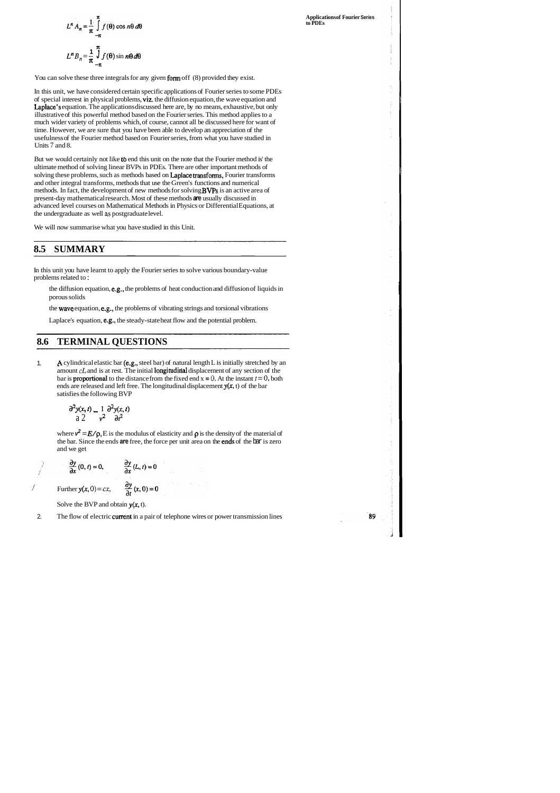$$
L^n A_n = \frac{1}{\pi} \int_{-\pi}^{\pi} f(\theta) \cos n\theta \, d\theta
$$
  

$$
L^n B_n = \frac{1}{\pi} \int_{-\pi}^{\pi} f(\theta) \sin n\theta \, d\theta
$$

You can solve these three integrals for any given form off (8) provided they exist.

In this unit, we have considered certain specific applications of Fourier series to some PDEs of special interest in physical problems, viz. the diffusion equation, the wave equation and Laplace's equation. The applications discussed here are, by no means, exhaustive, but only illustrative of this powerful method based on the Fourier series. This method applies to a much wider variety of problems which, of course, cannot all be discussed here for want of time. However, we are sure that you have been able to develop an appreciation of the usefulness of the Fourier method based on Fourier series, from what you have studied in Units 7 and 8.

But we would certainly not like tb end this unit on the note that the Fourier method is' the ultimate method of solving linear BVPs in PDEs. There are other important methods of solving these problems, such as methods based on Laplace transforms, Fourier transforms and other integral transforms, methods that use the Green's functions and numerical methods. In fact, the development of new methods for solving BVPs is an active area of present-day mathematical research. Most of these methods **are** usually discussed in advanced level courses on Mathematical Methods in Physics or Differential Equations, at the undergraduate as well **as** postgraduate level.

where  $v^2 = E/\rho$ , E is the modulus of elasticity and  $\rho$  is the density of the material of the bar. Since the ends **are** free, the force per unit area on the ends of the bar is zero and we get

We will now summarise what you have studied in this Unit.

## **8.5 SUMMARY**

In this unit you have learnt to apply the Fourier series to solve various boundary-value problems related to :

- the diffusion equation, e.g., the problems of heat conduction and diffusion of liquids in porous solids
- the wave equation, e.g., the problems of vibrating strings and torsional vibrations

Laplace's equation, e.g., the steady-state heat flow and the potential problem.

## **8.6 TERMINAL QUESTIONS**

1. **A** cylindrical elastic bar (e.g., steel bar) of natural length L is initially stretched by an amount *cL* and is at rest. The initial **longitudinal** displacement of any section of the bar is **proportional** to the distance from the fixed end  $x = 0$ , At the instant  $t = 0$ , both ends are released and left free. The longitudinal displacement  $y(x, t)$  of the bar satisfies the following BVP

$$
\frac{\partial^2 y(x,t)}{\partial x^2} = \frac{1}{v^2} \frac{\partial^2 y(x,t)}{\partial t^2}
$$

/

Solve the BVP and obtain  $y(x, t)$ .

2. The flow of electric **current** in a pair of telephone wires or power transmission lines

$$
\frac{\partial y}{\partial x}(0, t) = 0, \qquad \frac{\partial y}{\partial x}(L, t) = 0
$$
  
Further  $y(x, 0) = cx, \qquad \frac{\partial y}{\partial t}(x, 0) = 0$ 

**Applications of Fourier Series to PDEs** 

-89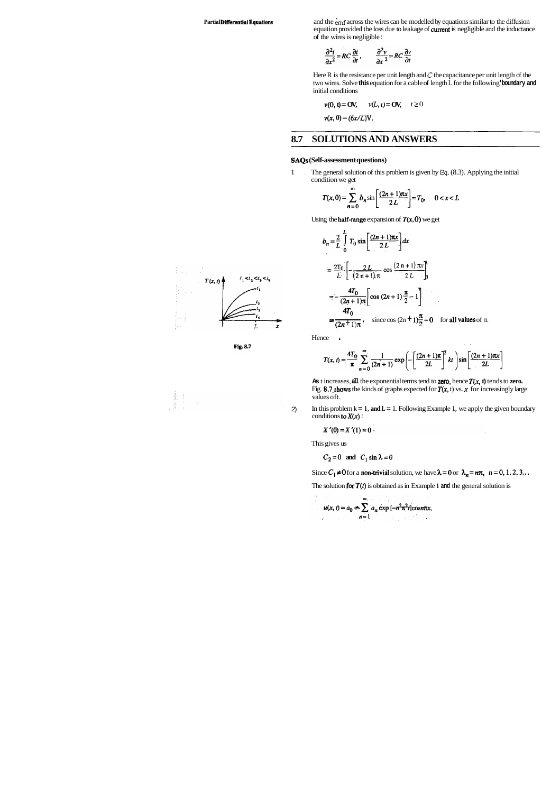Partial Differential Equations and the emf across the wires can be modelled by equations similar to the diffusion equation provided the loss due to leakage of current is negligible and the inductance of the wires is negligible :

$$
\frac{\partial^2 i}{\partial x^2} = RC \frac{\partial i}{\partial t}, \qquad \frac{\partial^2 v}{\partial x^2} = RC \frac{\partial v}{\partial t}
$$

Here R is the resistance per unit length and *C* the capacitance per unit length of the two wires. Solve this equation for a cable of length L for the following **'boundary and**  initial conditions

$$
v(0, t) = \mathbf{O}V, \qquad v(L, t) = \mathbf{O}V, \qquad t \ge 0
$$

 $v(x, 0) = (6x/L)V.$ 

# **8.7 SOLUTIONS AND ANSWERS**

As **t** increases, all the exponential terms tend to **zero**, hence  $T(x, t)$  tends to **zero.** Fig. 8.7 shows the kinds of graphs expected for  $T(x, t)$  vs.  $x$  for increasingly large values oft.

2) In this problem  $k = 1$ , and  $L = 1$ . Following Example 1, we apply the given boundary conditions to  $X(x)$  :

 $\bar{z}$ 

$$
X'(0)=X'(1)=0.
$$

#### **SAQs (Self-assessment questions)**

1 , . The general solution of this problem is given by **Eq.** (8.3). Applying the initial condition we get

$$
T(x, 0) = \sum_{n=0}^{m} b_n \sin \left[ \frac{(2n+1)\pi x}{2L} \right] = T_0, \quad 0 < x < L
$$

Using the **half-range** expansion of  $T(x, 0)$  we get

$$
b_n = \frac{2}{L} \int_0^L T_0 \sin \left[ \frac{(2n+1)\pi x}{2L} \right] dx
$$
  
=  $\frac{2T_0}{L} \left[ -\frac{2L}{(2n+1)\pi} \cos \frac{(2n+1)\pi x}{2L} \right]_0^L$   
=  $-\frac{4T_0}{(2n+1)\pi} \left[ \cos (2n+1) \frac{\pi}{2} - 1 \right]$   
=  $\frac{4T_0}{(2n+1)\pi}$ , since  $\cos (2n+1) \frac{\pi}{2} = 0$  for all values of n.

Hence **.** 

$$
T(x,t) = \frac{4T_0}{\pi} \sum_{n=0}^{\infty} \frac{1}{(2n+1)} \exp\left(-\left[\frac{(2n+1)\pi}{2L}\right]^2 kt\right) \sin\left[\frac{(2n+1)\pi x}{2L}\right]
$$

This gives us

 $C_2=0$  and  $C_1 \sin \lambda = 0$ 

Since  $C_1 \neq 0$  for a **non-trivial** solution, we have  $\lambda = 0$  or  $\lambda_n = n\pi$ , **n** = 0, 1, 2, 3, ..

The solution for  $T(t)$  is obtained as in Example 1 and the general solution is

$$
u(x, t) = a_0 + \sum_{n=1}^{\infty} a_n \exp[-n^2 \pi^2 t] \text{cos} n\pi x,
$$





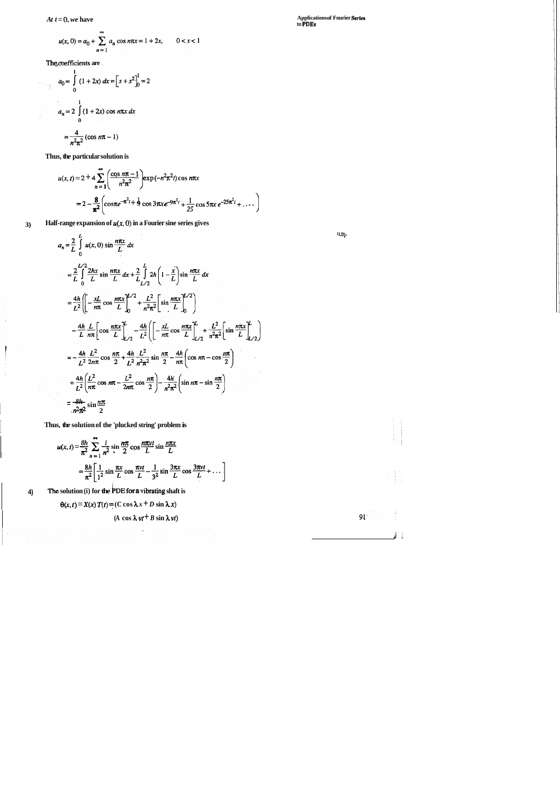$At t = 0$ , we have

$$
u(x, 0) = a_0 + \sum_{n=1}^{\infty} a_n \cos n\pi x = 1 + 2x, \qquad 0 < x < 1
$$

**Thg cbeficients are** .

$$
a_0 = \int_0^1 (1 + 2x) dx = \left[ x + x^2 \right]_0^1 = 2
$$
  

$$
a_n = 2 \int_0^1 (1 + 2x) \cos n\pi x dx
$$
  

$$
= \frac{4}{n^2 \pi^2} (\cos n\pi - 1)
$$

**Thus, the particular solution is** 

 $\rightarrow$ 

 $\overline{\phantom{a}}$ 

 $\hat{\boldsymbol{\beta}}$ 

 $\begin{bmatrix} \ddots & \ddots & \ddots \\ \ddots & \ddots & \ddots \\ \ddots & \ddots & \ddots \end{bmatrix}$ 

$$
u(x, t) = 2 + 4 \sum_{n=1}^{\infty} \left( \frac{\cos n\pi - 1}{n^2 \pi^2} \right) \exp(-n^2 \pi^2 t) \cos n\pi x
$$
  
=  $2 - \frac{8}{\pi^2} \left( \cos \pi e^{-\pi^2 t} + \frac{1}{2} \cos 3\pi x \ e^{-\pi^2 t} + \frac{1}{25} \cos 5\pi x \ e^{-\pi^2 t} + \dots \right)$ 

**3) Half-range expansion of** *u(x, 0)* **in a Fourier sine series gives** 

$$
a_n = \frac{2}{L} \int_0^L u(x, 0) \sin \frac{n\pi x}{L} dx
$$
  
\n
$$
= \frac{2}{L} \int_0^{L/2} \frac{2hx}{L} \sin \frac{n\pi x}{L} dx + \frac{2}{L} \int_{{L/2}}^L 2h \left(1 - \frac{x}{L}\right) \sin \frac{n\pi x}{L} dx
$$
  
\n
$$
= \frac{4h}{L^2} \left[ \left( -\frac{xL}{n\pi} \cos \frac{n\pi x}{L} \right]_0^{L/2} + \frac{L^2}{n^2 \pi^2} \left[ \sin \frac{n\pi x}{L} \right]_0^{L/2} \right]
$$
  
\n
$$
- \frac{4h}{L} \frac{L}{n\pi} \left[ \cos \frac{n\pi x}{L} \right]_{L/2}^L - \frac{4h}{L^2} \left( \left[ -\frac{xL}{n\pi} \cos \frac{n\pi x}{L} \right]_{L/2}^L + \frac{L^2}{n^2 \pi^2} \left[ \sin \frac{n\pi x}{L} \right]_{L/2}^L \right)
$$
  
\n
$$
= -\frac{4h}{L^2} \frac{L^2}{2n\pi} \cos \frac{n\pi}{2} + \frac{4h}{L^2} \frac{L^2}{n^2 \pi^2} \sin \frac{n\pi}{2} - \frac{4h}{n\pi} \left( \cos n\pi - \cos \frac{n\pi}{2} \right)
$$
  
\n
$$
+ \frac{4h}{L^2} \left( \frac{L^2}{n\pi} \cos n\pi - \frac{L^2}{2n\pi} \cos \frac{n\pi}{2} \right) - \frac{4h}{n^2 \pi^2} \left( \sin n\pi - \sin \frac{n\pi}{2} \right)
$$
  
\n
$$
= \frac{8h}{n^2 \pi^2} \sin \frac{n\pi}{2}
$$

I **Thus, the solution of the 'plucked string' problem is** 

s, the solution of the 'plucked string' problem is  
\n
$$
u(x, t) = \frac{8h}{\pi^2} \sum_{n=1}^{\infty} \frac{1}{n^2} \sin \frac{n\pi}{2} \cos \frac{n\pi vt}{L} \sin \frac{n\pi x}{L}
$$
\n
$$
= \frac{8h}{\pi^2} \left[ \frac{1}{1^2} \sin \frac{\pi x}{L} \cos \frac{\pi vt}{L} - \frac{1}{3^2} \sin \frac{3\pi x}{L} \cos \frac{3\pi vt}{L} + \dots \right]
$$

**4) The solution (i) for the ~DE for a sibrating shaft is** 

 $\Theta(x, t) = X(x) T(t) = (C \cos \lambda x + D \sin \lambda x)$ 

$$
(A \cos \lambda vt + B \sin \lambda vt)
$$

**Applications of Fourier Serls to PDEs** 

 $\mathbf{u}\mathbf{g}$ 

 $91<sup>2</sup>$ 

 $\frac{1}{2}$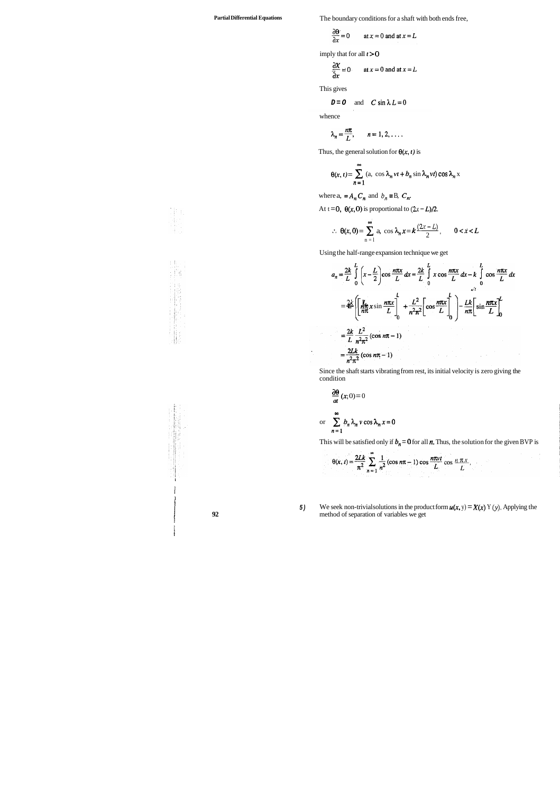Partial Differential Equations **The boundary conditions for a shaft with both ends free,** 

$$
\frac{\partial \Theta}{\partial x} = 0 \qquad \text{at } x = 0 \text{ and at } x = L
$$

imply that for all  $t > 0$ 

$$
\frac{\partial X}{\partial x} = 0 \quad \text{at } x = 0 \text{ and at } x = L
$$

This gives

$$
D = O \quad \text{and} \quad C \sin \lambda L = 0
$$

whence

$$
\lambda_n = \frac{n\pi}{L}, \qquad n = 1, 2, \ldots.
$$

Thus, the general solution for  $\theta(x, t)$  is

$$
\theta(x, t) = \sum_{n=1}^{\infty} (a, \cos \lambda_n vt + b_n \sin \lambda_n vt) \cos \lambda_n x
$$

where a,  $=A_n C_n$  and  $b_n \equiv B$ ,  $C_n$ .

At  $t = 0$ ,  $\theta(x, 0)$  is proportional to  $(2x - L)/2$ .

$$
\therefore \ \theta(x,0) = \sum_{n=1}^{\infty} a_n \cos \lambda_n x = k \frac{(2x-L)}{2}, \qquad 0 < x < L
$$

Using the half-range expansion technique we get

$$
a_n = \frac{2k}{L} \int_0^L \left(x - \frac{L}{2}\right) \cos \frac{n\pi x}{L} dx = \frac{2k}{L} \int_0^L x \cos \frac{n\pi x}{L} dx - k \int_0^L \cos \frac{n\pi x}{L} dx
$$
  

$$
= \frac{2k}{L} \left[ \frac{L}{n\pi} x \sin \frac{n\pi x}{L} \right]_0^L + \frac{L^2}{n^2 \pi^2} \left[ \cos \frac{n\pi x}{L} \right]_0^L - \frac{Lk}{n\pi} \left[ \sin \frac{n\pi x}{L} \right]_0^L
$$
  

$$
= \frac{2k}{L} \frac{L^2}{n^2 \pi^2} (\cos n\pi - 1)
$$
  

$$
= \frac{2Lk}{n^2 \pi^2} (\cos n\pi - 1)
$$

Since the shaft starts vibrating from rest, its initial velocity is zero giving the condition

condition  
\n
$$
\frac{\partial \theta}{\partial t}(x; 0) = 0
$$
\nor  
\n
$$
\sum_{n=1}^{\infty} b_n \lambda_n \nu \cos \lambda_n x = 0
$$

This will be satisfied only if  $b_n = 0$  for all  $n$ . Thus, the solution for the given BVP is

$$
\theta(x, t) = \frac{2Lk}{\pi^2} \sum_{n=1}^{\infty} \frac{1}{n^2} (\cos n\pi - 1) \cos \frac{n\pi vt}{L} \cos \frac{n\pi x}{L}.
$$

1**5)** We seek non-trivial solutions in the product form  $u(x, y) = X(x)$  Y (y). Applying the method of separation of variables we get method of separation of variables we get



1 1 I

> f i i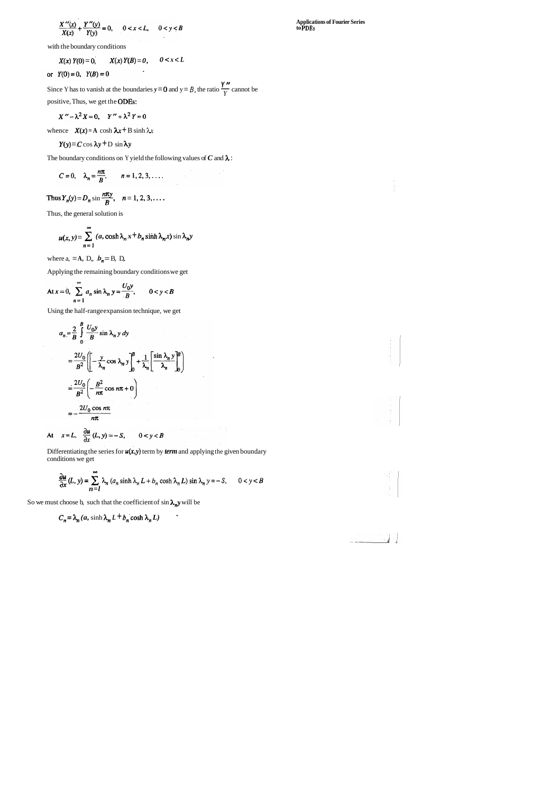$$
\frac{X''(x)}{X(x)} + \frac{Y''(y)}{Y(y)} = 0, \qquad 0 < x < L, \qquad 0 < y < B
$$

with the boundary conditions

$$
X(x) Y(0) = 0, \qquad X(x) Y(B) = 0, \qquad 0 < x < L
$$

**Y**  $(Y(0) = 0, Y(B) = 0$ <br>Since Y has to vanish at the boundaries  $y = 0$  and  $y = B$ , the ratio  $\frac{Y''}{Y}$  cannot be positive, Thus, we get the ODES:

$$
X'' - \lambda^2 X = 0, \quad Y'' + \lambda^2 Y = 0
$$

whence  $X(x) = A \cosh \lambda x + B \sinh \lambda x$ 

 $Y(y) = C \cos \lambda y + D \sin \lambda y$ 

The boundary conditions on Y yield the following values of *C* and *h* :

$$
C=0, \quad \lambda_n=\frac{n\pi}{B}, \qquad n=1,2,3,\ldots.
$$

Differentiating the series for  $u(x,y)$  term by *term* and applying the given boundary conditions we get

Thus 
$$
Y_n(y) = D_n \sin \frac{n\pi y}{B}
$$
,  $n = 1, 2, 3, ...$ 

Thus, the general solution is

$$
u(x, y) = \sum_{n=1}^{\infty} (a, \cosh \lambda_n x + b_n \sinh \lambda_n x) \sin \lambda_n y
$$

where a,  $=A$ ,  $D$ ,,  $b_n = B$ ,  $D$ ,

Applying the remaining boundary conditions we get

At 
$$
x = 0
$$
, 
$$
\sum_{n=1}^{\infty} a_n \sin \lambda_n y = \frac{U_0 y}{B}, \qquad 0 < y < B
$$

Using the half-range expansion technique, we get

$$
a_n = \frac{2}{B} \int_0^B \frac{U_0 y}{B} \sin \lambda_n y \, dy
$$
  

$$
= \frac{2U_0}{B^2} \left[ \left[ -\frac{y}{\lambda_n} \cos \lambda_n y \right]_0^B + \frac{1}{\lambda_n} \left[ \frac{\sin \lambda_n y}{\lambda_n} \right]_0^B \right]
$$
  

$$
= \frac{2U_0}{B^2} \left( -\frac{B^2}{n\pi} \cos n\pi + 0 \right)
$$
  

$$
= -\frac{2U_0 \cos n\pi}{n\pi}
$$

At  $x=L$ ,  $\frac{\partial u}{\partial x}(L, y) = -S$ ,  $0 < y < B$ 

$$
\frac{\partial u}{\partial x}(L, y) = \sum_{n=1}^{\infty} \lambda_n (a_n \sinh \lambda_n L + b_n \cosh \lambda_n L) \sin \lambda_n y = -S, \qquad 0 < y < B
$$

 $\mathcal{I}=\mathcal{I}$  .

So we must choose b, such that the coefficient of  $\sin \lambda_n y$  will be

$$
C_n = \lambda_n (a, \sinh \lambda_n L + b_n \cosh \lambda_n L)
$$

**Applications of Fourier Series to PDEs** 

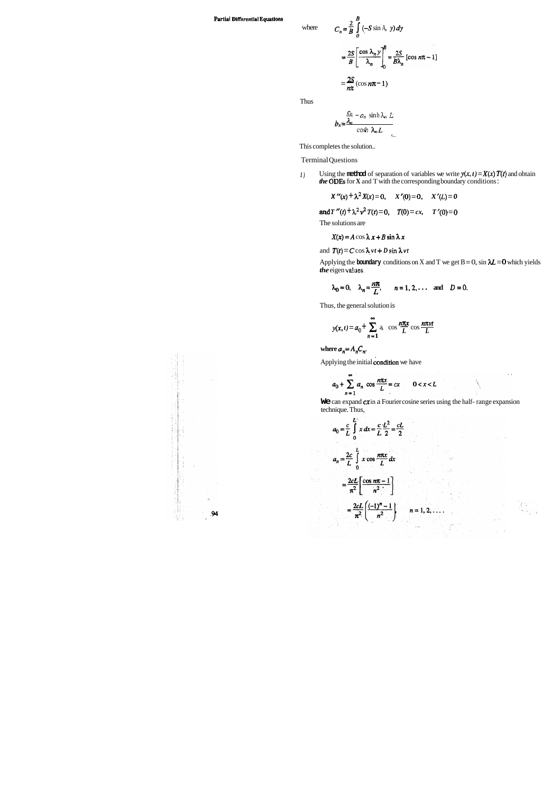where **<sup>2</sup>**

#### **Partial Differential Equations**

$$
C_n = \frac{2}{B} \int_0^B (-S \sin A, y) dy
$$
  
=  $\frac{2S}{B} \left[ \frac{\cos \lambda_n y}{\lambda_n} \right]_0^B = \frac{2S}{B\lambda_n} [\cos n\pi - 1]$   
=  $\frac{2S}{n\pi} (\cos n\pi - 1)$ 

Thus

$$
b_n = \frac{\frac{C_n}{\lambda_n} - a_n \sinh \lambda_n L}{\cosh \lambda_n L}
$$

This completes the solution..

*1*) Using the **method** of separation of variables we write  $y(x, t) = X(x) T(t)$  and obtain *the* ODES for **X** and T with the corresponding boundary conditions :

### Terminal Questions

Applying the **boundary** conditions on X and T we get  $B = 0$ ,  $\sin \lambda L = 0$  which yields *the* eigen **values.** 

$$
X''(x) + \lambda^2 X(x) = 0
$$
,  $X'(0) = 0$ ,  $X'(L) = 0$ 

**and**  $T''(t) + \lambda^2 v^2 T(t) = 0$ ,  $T(0) = cx$ ,  $T'(0) = 0$ 

The solutions are

$$
X(x) = A \cos \lambda x + B \sin \lambda x
$$

and 
$$
T(t) = C \cos \lambda vt + D \sin \lambda vt
$$

$$
\lambda_0 = 0
$$
,  $\lambda_n = \frac{n\pi}{L}$ ,  $n = 1, 2, \dots$  and  $D = 0$ .

Thus, the general solution is  
\n
$$
y(x,t) = a_0 + \sum_{n=1}^{\infty} a_n \cos \frac{n\pi x}{L} \cos \frac{n\pi vt}{L}
$$

where  $a_n = A_n C_n$ .

ti,

Applying the initial condition we have

$$
a_0 + \sum_{n=1}^{\infty} a_n \cos \frac{n\pi x}{L} = cx \qquad 0 < x < L
$$

**We** can expand **ex** in a Fourier cosine series using the half- range expansion technique. Thus,

$$
a_0 = \frac{c}{L} \int_0^{L} x \, dx = \frac{c}{L} \frac{L^2}{2} = \frac{cL}{2}
$$
  
\n
$$
a_n = \frac{2c}{L} \int_0^{L} x \cos \frac{n\pi x}{L} \, dx
$$
  
\n
$$
= \frac{2cL}{\pi^2} \left[ \frac{\cos n\pi - 1}{n^2} \right]
$$
  
\n
$$
= \frac{2cL}{\pi^2} \left( \frac{(-1)^n - 1}{n^2} \right) \qquad n = 1, 2, ....
$$